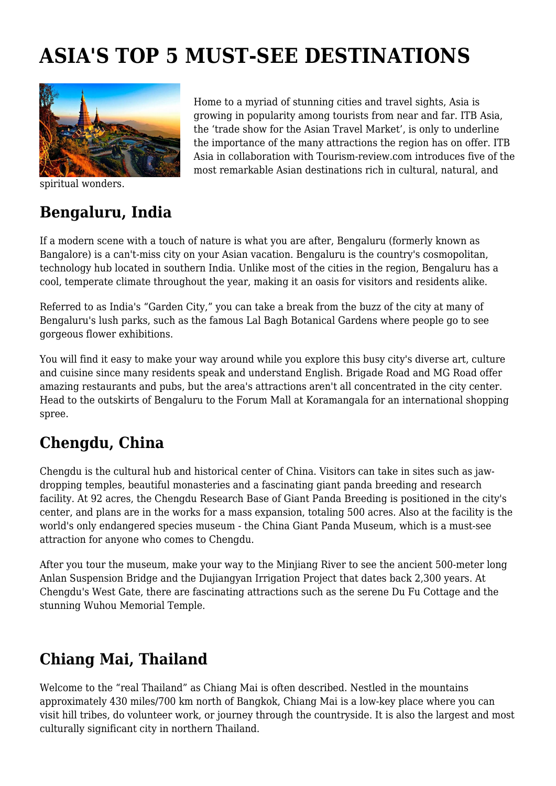# **ASIA'S TOP 5 MUST-SEE DESTINATIONS**



spiritual wonders.

Home to a myriad of stunning cities and travel sights, Asia is growing in popularity among tourists from near and far. ITB Asia, the 'trade show for the Asian Travel Market', is only to underline the importance of the many attractions the region has on offer. ITB Asia in collaboration with Tourism-review.com introduces five of the most remarkable Asian destinations rich in cultural, natural, and

#### **Bengaluru, India**

If a modern scene with a touch of nature is what you are after, Bengaluru (formerly known as Bangalore) is a can't-miss city on your Asian vacation. Bengaluru is the country's cosmopolitan, technology hub located in southern India. Unlike most of the cities in the region, Bengaluru has a cool, temperate climate throughout the year, making it an oasis for visitors and residents alike.

Referred to as India's "Garden City," you can take a break from the buzz of the city at many of Bengaluru's lush parks, such as the famous Lal Bagh Botanical Gardens where people go to see gorgeous flower exhibitions.

You will find it easy to make your way around while you explore this busy city's diverse art, culture and cuisine since many residents speak and understand English. Brigade Road and MG Road offer amazing restaurants and pubs, but the area's attractions aren't all concentrated in the city center. Head to the outskirts of Bengaluru to the Forum Mall at Koramangala for an international shopping spree.

#### **Chengdu, China**

Chengdu is the cultural hub and historical center of China. Visitors can take in sites such as jawdropping temples, beautiful monasteries and a fascinating giant panda breeding and research facility. At 92 acres, the Chengdu Research Base of Giant Panda Breeding is positioned in the city's center, and plans are in the works for a mass expansion, totaling 500 acres. Also at the facility is the world's only endangered species museum - the China Giant Panda Museum, which is a must-see attraction for anyone who comes to Chengdu.

After you tour the museum, make your way to the Minjiang River to see the ancient 500-meter long Anlan Suspension Bridge and the Dujiangyan Irrigation Project that dates back 2,300 years. At Chengdu's West Gate, there are fascinating attractions such as the serene Du Fu Cottage and the stunning Wuhou Memorial Temple.

## **Chiang Mai, Thailand**

Welcome to the "real Thailand" as Chiang Mai is often described. Nestled in the mountains approximately 430 miles/700 km north of Bangkok, Chiang Mai is a low-key place where you can visit hill tribes, do volunteer work, or journey through the countryside. It is also the largest and most culturally significant city in northern Thailand.